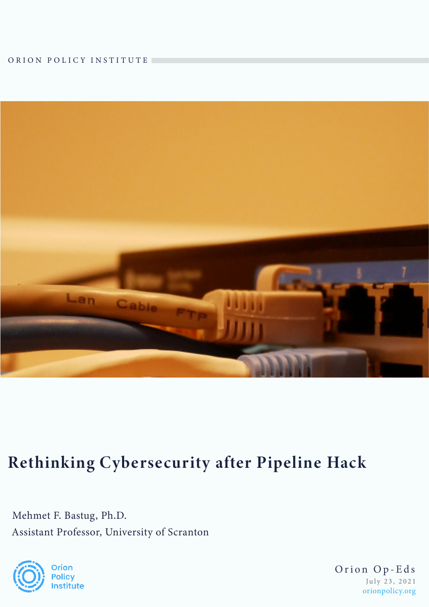ORION POLICY INSTITUTE



## Rethinking Cybersecurity after Pipeline Hack

Mehmet F. Bastug, Ph.D. Assistant Professor, University of Scranton



July 23, 2021 Orion Op-Eds orionpolicy.org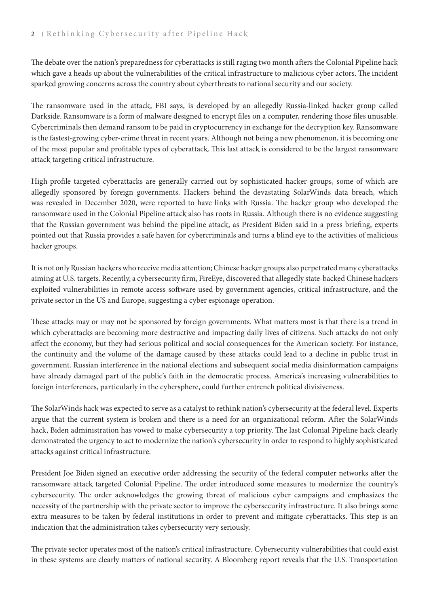## 2 Rethinking Cybersecurity after Pipeline Hack

The debate over the nation's preparedness for cyberattacks is still raging two month afters the Colonial Pipeline hack which gave a heads up about the vulnerabilities of the critical infrastructure to malicious cyber actors. The incident sparked growing concerns across the country about cyberthreats to national security and our society.

The ransomware used in the attack, FBI says, is developed by an allegedly Russia-linked hacker group called Darkside. Ransomware is a form of malware designed to encrypt files on a computer, rendering those files unusable. Cybercriminals then demand ransom to be paid in cryptocurrency in exchange for the decryption key. Ransomware is the fastest-growing cyber-crime threat in recent years. Although not being a new phenomenon, it is becoming one of the most popular and profitable types of cyberattack. This last attack is considered to be the largest ransomware attack targeting critical infrastructure.

High-profile targeted cyberattacks are generally carried out by sophisticated hacker groups, some of which are allegedly sponsored by foreign governments. Hackers behind the devastating SolarWinds data breach, which was revealed in December 2020, were reported to have links with Russia. The hacker group who developed the ransomware used in the Colonial Pipeline attack also has roots in Russia. Although there is no evidence suggesting that the Russian government was behind the pipeline attack, as President Biden said in a press briefing, experts pointed out that Russia provides a safe haven for cybercriminals and turns a blind eye to the activities of malicious hacker groups.

It is not only Russian hackers who receive media attention; Chinese hacker groups also perpetrated many cyberattacks aiming at U.S. targets. Recently, a cybersecurity firm, FireEye, discovered that allegedly state-backed Chinese hackers exploited vulnerabilities in remote access software used by government agencies, critical infrastructure, and the private sector in the US and Europe, suggesting a cyber espionage operation.

These attacks may or may not be sponsored by foreign governments. What matters most is that there is a trend in which cyberattacks are becoming more destructive and impacting daily lives of citizens. Such attacks do not only affect the economy, but they had serious political and social consequences for the American society. For instance, the continuity and the volume of the damage caused by these attacks could lead to a decline in public trust in government. Russian interference in the national elections and subsequent social media disinformation campaigns have already damaged part of the public's faith in the democratic process. America's increasing vulnerabilities to foreign interferences, particularly in the cybersphere, could further entrench political divisiveness.

The SolarWinds hack was expected to serve as a catalyst to rethink nation's cybersecurity at the federal level. Experts argue that the current system is broken and there is a need for an organizational reform. After the SolarWinds hack, Biden administration has vowed to make cybersecurity a top priority. The last Colonial Pipeline hack clearly demonstrated the urgency to act to modernize the nation's cybersecurity in order to respond to highly sophisticated attacks against critical infrastructure.

President Joe Biden signed an executive order addressing the security of the federal computer networks after the ransomware attack targeted Colonial Pipeline. The order introduced some measures to modernize the country's cybersecurity. The order acknowledges the growing threat of malicious cyber campaigns and emphasizes the necessity of the partnership with the private sector to improve the cybersecurity infrastructure. It also brings some extra measures to be taken by federal institutions in order to prevent and mitigate cyberattacks. This step is an indication that the administration takes cybersecurity very seriously.

The private sector operates most of the nation's critical infrastructure. Cybersecurity vulnerabilities that could exist in these systems are clearly matters of national security. A Bloomberg report reveals that the U.S. Transportation